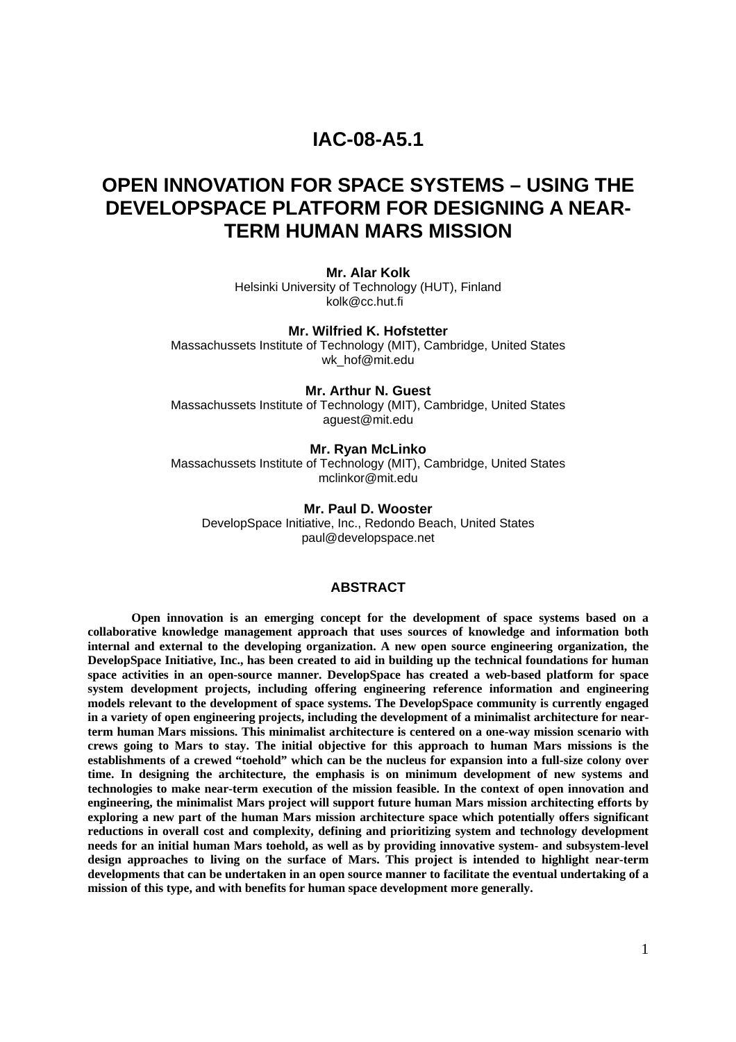# **IAC-08-A5.1**

# **OPEN INNOVATION FOR SPACE SYSTEMS – USING THE DEVELOPSPACE PLATFORM FOR DESIGNING A NEAR-TERM HUMAN MARS MISSION**

#### **Mr. Alar Kolk**

Helsinki University of Technology (HUT), Finland kolk@cc.hut.fi

#### **Mr. Wilfried K. Hofstetter**

Massachussets Institute of Technology (MIT), Cambridge, United States wk\_hof@mit.edu

#### **Mr. Arthur N. Guest**

Massachussets Institute of Technology (MIT), Cambridge, United States aguest@mit.edu

#### **Mr. Ryan McLinko**

Massachussets Institute of Technology (MIT), Cambridge, United States mclinkor@mit.edu

#### **Mr. Paul D. Wooster**

DevelopSpace Initiative, Inc., Redondo Beach, United States paul@developspace.net

#### **ABSTRACT**

**Open innovation is an emerging concept for the development of space systems based on a collaborative knowledge management approach that uses sources of knowledge and information both internal and external to the developing organization. A new open source engineering organization, the DevelopSpace Initiative, Inc., has been created to aid in building up the technical foundations for human space activities in an open-source manner. DevelopSpace has created a web-based platform for space system development projects, including offering engineering reference information and engineering models relevant to the development of space systems. The DevelopSpace community is currently engaged in a variety of open engineering projects, including the development of a minimalist architecture for nearterm human Mars missions. This minimalist architecture is centered on a one-way mission scenario with crews going to Mars to stay. The initial objective for this approach to human Mars missions is the establishments of a crewed "toehold" which can be the nucleus for expansion into a full-size colony over time. In designing the architecture, the emphasis is on minimum development of new systems and technologies to make near-term execution of the mission feasible. In the context of open innovation and engineering, the minimalist Mars project will support future human Mars mission architecting efforts by exploring a new part of the human Mars mission architecture space which potentially offers significant reductions in overall cost and complexity, defining and prioritizing system and technology development needs for an initial human Mars toehold, as well as by providing innovative system- and subsystem-level design approaches to living on the surface of Mars. This project is intended to highlight near-term developments that can be undertaken in an open source manner to facilitate the eventual undertaking of a mission of this type, and with benefits for human space development more generally.**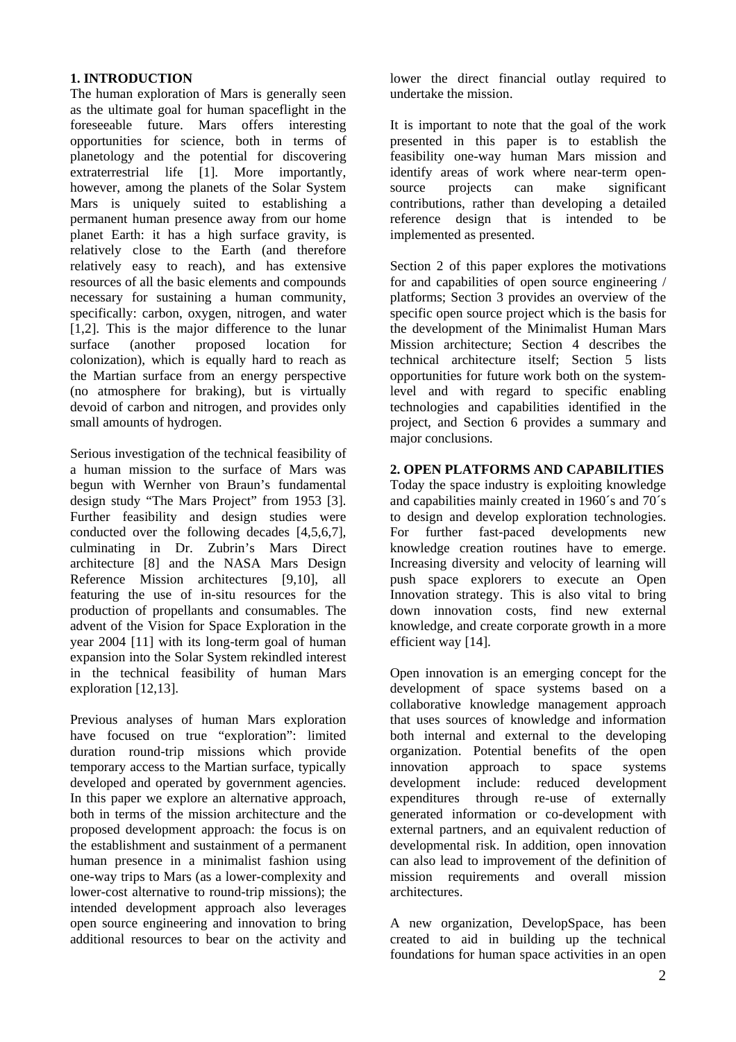# **1. INTRODUCTION**

The human exploration of Mars is generally seen as the ultimate goal for human spaceflight in the foreseeable future. Mars offers interesting opportunities for science, both in terms of planetology and the potential for discovering extraterrestrial life [1]. More importantly, however, among the planets of the Solar System Mars is uniquely suited to establishing a permanent human presence away from our home planet Earth: it has a high surface gravity, is relatively close to the Earth (and therefore relatively easy to reach), and has extensive resources of all the basic elements and compounds necessary for sustaining a human community, specifically: carbon, oxygen, nitrogen, and water [1,2]. This is the major difference to the lunar surface (another proposed location for colonization), which is equally hard to reach as the Martian surface from an energy perspective (no atmosphere for braking), but is virtually devoid of carbon and nitrogen, and provides only small amounts of hydrogen.

Serious investigation of the technical feasibility of a human mission to the surface of Mars was begun with Wernher von Braun's fundamental design study "The Mars Project" from 1953 [3]. Further feasibility and design studies were conducted over the following decades [4,5,6,7], culminating in Dr. Zubrin's Mars Direct architecture [8] and the NASA Mars Design Reference Mission architectures [9,10], all featuring the use of in-situ resources for the production of propellants and consumables. The advent of the Vision for Space Exploration in the year 2004 [11] with its long-term goal of human expansion into the Solar System rekindled interest in the technical feasibility of human Mars exploration [12,13].

Previous analyses of human Mars exploration have focused on true "exploration": limited duration round-trip missions which provide temporary access to the Martian surface, typically developed and operated by government agencies. In this paper we explore an alternative approach, both in terms of the mission architecture and the proposed development approach: the focus is on the establishment and sustainment of a permanent human presence in a minimalist fashion using one-way trips to Mars (as a lower-complexity and lower-cost alternative to round-trip missions); the intended development approach also leverages open source engineering and innovation to bring additional resources to bear on the activity and lower the direct financial outlay required to undertake the mission.

It is important to note that the goal of the work presented in this paper is to establish the feasibility one-way human Mars mission and identify areas of work where near-term opensource projects can make significant contributions, rather than developing a detailed reference design that is intended to be implemented as presented.

Section 2 of this paper explores the motivations for and capabilities of open source engineering / platforms; Section 3 provides an overview of the specific open source project which is the basis for the development of the Minimalist Human Mars Mission architecture; Section 4 describes the technical architecture itself; Section 5 lists opportunities for future work both on the systemlevel and with regard to specific enabling technologies and capabilities identified in the project, and Section 6 provides a summary and major conclusions.

### **2. OPEN PLATFORMS AND CAPABILITIES**

Today the space industry is exploiting knowledge and capabilities mainly created in 1960´s and 70´s to design and develop exploration technologies. For further fast-paced developments new knowledge creation routines have to emerge. Increasing diversity and velocity of learning will push space explorers to execute an Open Innovation strategy. This is also vital to bring down innovation costs, find new external knowledge, and create corporate growth in a more efficient way [14].

Open innovation is an emerging concept for the development of space systems based on a collaborative knowledge management approach that uses sources of knowledge and information both internal and external to the developing organization. Potential benefits of the open innovation approach to space systems development include: reduced development expenditures through re-use of externally generated information or co-development with external partners, and an equivalent reduction of developmental risk. In addition, open innovation can also lead to improvement of the definition of mission requirements and overall mission architectures.

A new organization, DevelopSpace, has been created to aid in building up the technical foundations for human space activities in an open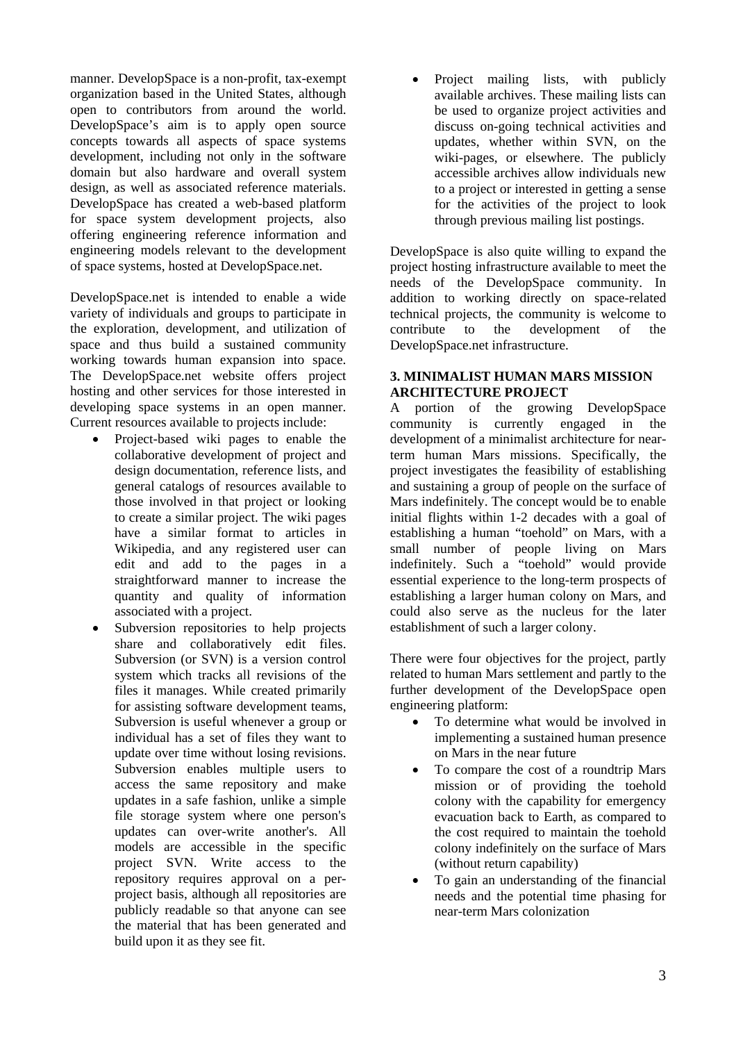manner. DevelopSpace is a non-profit, tax-exempt organization based in the United States, although open to contributors from around the world. DevelopSpace's aim is to apply open source concepts towards all aspects of space systems development, including not only in the software domain but also hardware and overall system design, as well as associated reference materials. DevelopSpace has created a web-based platform for space system development projects, also offering engineering reference information and engineering models relevant to the development of space systems, hosted at DevelopSpace.net.

DevelopSpace.net is intended to enable a wide variety of individuals and groups to participate in the exploration, development, and utilization of space and thus build a sustained community working towards human expansion into space. The DevelopSpace.net website offers project hosting and other services for those interested in developing space systems in an open manner. Current resources available to projects include:

- Project-based wiki pages to enable the collaborative development of project and design documentation, reference lists, and general catalogs of resources available to those involved in that project or looking to create a similar project. The wiki pages have a similar format to articles in Wikipedia, and any registered user can edit and add to the pages in a straightforward manner to increase the quantity and quality of information associated with a project.
- Subversion repositories to help projects share and collaboratively edit files. Subversion (or SVN) is a version control system which tracks all revisions of the files it manages. While created primarily for assisting software development teams, Subversion is useful whenever a group or individual has a set of files they want to update over time without losing revisions. Subversion enables multiple users to access the same repository and make updates in a safe fashion, unlike a simple file storage system where one person's updates can over-write another's. All models are accessible in the specific project SVN. Write access to the repository requires approval on a perproject basis, although all repositories are publicly readable so that anyone can see the material that has been generated and build upon it as they see fit.

Project mailing lists, with publicly available archives. These mailing lists can be used to organize project activities and discuss on-going technical activities and updates, whether within SVN, on the wiki-pages, or elsewhere. The publicly accessible archives allow individuals new to a project or interested in getting a sense for the activities of the project to look through previous mailing list postings.

DevelopSpace is also quite willing to expand the project hosting infrastructure available to meet the needs of the DevelopSpace community. In addition to working directly on space-related technical projects, the community is welcome to contribute to the development of the DevelopSpace.net infrastructure.

### **3. MINIMALIST HUMAN MARS MISSION ARCHITECTURE PROJECT**

A portion of the growing DevelopSpace community is currently engaged in the development of a minimalist architecture for nearterm human Mars missions. Specifically, the project investigates the feasibility of establishing and sustaining a group of people on the surface of Mars indefinitely. The concept would be to enable initial flights within 1-2 decades with a goal of establishing a human "toehold" on Mars, with a small number of people living on Mars indefinitely. Such a "toehold" would provide essential experience to the long-term prospects of establishing a larger human colony on Mars, and could also serve as the nucleus for the later establishment of such a larger colony.

There were four objectives for the project, partly related to human Mars settlement and partly to the further development of the DevelopSpace open engineering platform:

- To determine what would be involved in implementing a sustained human presence on Mars in the near future
- To compare the cost of a roundtrip Mars mission or of providing the toehold colony with the capability for emergency evacuation back to Earth, as compared to the cost required to maintain the toehold colony indefinitely on the surface of Mars (without return capability)
- To gain an understanding of the financial needs and the potential time phasing for near-term Mars colonization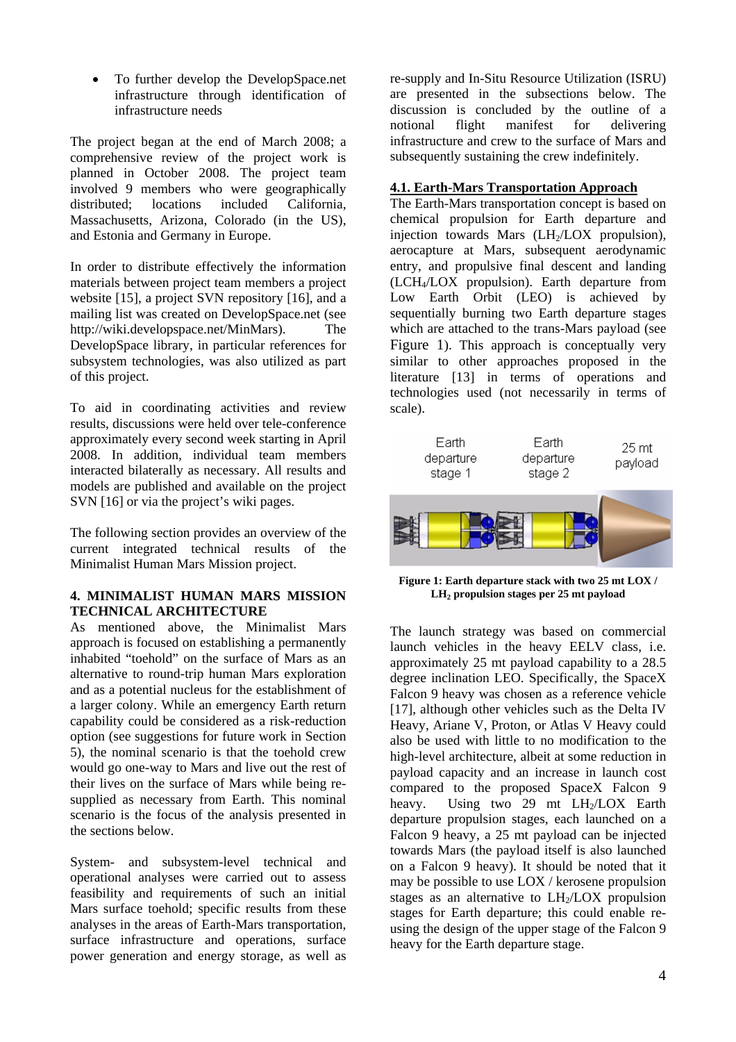• To further develop the DevelopSpace.net infrastructure through identification of infrastructure needs

The project began at the end of March 2008; a comprehensive review of the project work is planned in October 2008. The project team involved 9 members who were geographically distributed; locations included California, Massachusetts, Arizona, Colorado (in the US), and Estonia and Germany in Europe.

In order to distribute effectively the information materials between project team members a project website [15], a project SVN repository [16], and a mailing list was created on DevelopSpace.net (see http://wiki.developspace.net/MinMars). The DevelopSpace library, in particular references for subsystem technologies, was also utilized as part of this project.

To aid in coordinating activities and review results, discussions were held over tele-conference approximately every second week starting in April 2008. In addition, individual team members interacted bilaterally as necessary. All results and models are published and available on the project SVN [16] or via the project's wiki pages.

The following section provides an overview of the current integrated technical results of the Minimalist Human Mars Mission project.

### <span id="page-3-0"></span>**4. MINIMALIST HUMAN MARS MISSION TECHNICAL ARCHITECTURE**

As mentioned above, the Minimalist Mars approach is focused on establishing a permanently inhabited "toehold" on the surface of Mars as an alternative to round-trip human Mars exploration and as a potential nucleus for the establishment of a larger colony. While an emergency Earth return capability could be considered as a risk-reduction option (see suggestions for future work in Section 5), the nominal scenario is that the toehold crew would go one-way to Mars and live out the rest of their lives on the surface of Mars while being resupplied as necessary from Earth. This nominal scenario is the focus of the analysis presented in the sections below.

System- and subsystem-level technical and operational analyses were carried out to assess feasibility and requirements of such an initial Mars surface toehold; specific results from these analyses in the areas of Earth-Mars transportation, surface infrastructure and operations, surface power generation and energy storage, as well as

re-supply and In-Situ Resource Utilization (ISRU) are presented in the subsections below. The discussion is concluded by the outline of a notional flight manifest for delivering infrastructure and crew to the surface of Mars and subsequently sustaining the crew indefinitely.

### **4.1. Earth-Mars Transportation Approach**

The Earth-Mars transportation concept is based on chemical propulsion for Earth departure and injection towards Mars  $(LH<sub>2</sub>/LOX)$  propulsion), aerocapture at Mars, subsequent aerodynamic entry, and propulsive final descent and landing (LCH4/LOX propulsion). Earth departure from Low Earth Orbit (LEO) is achieved by sequentially burning two Earth departure stages which are attached to the trans-Mars payload (see [Figure 1\)](#page-3-0). This approach is conceptually very similar to other approaches proposed in the literature [13] in terms of operations and technologies used (not necessarily in terms of scale).



**Figure 1: Earth departure stack with two 25 mt LOX / LH2 propulsion stages per 25 mt payload**

The launch strategy was based on commercial launch vehicles in the heavy EELV class, i.e. approximately 25 mt payload capability to a 28.5 degree inclination LEO. Specifically, the SpaceX Falcon 9 heavy was chosen as a reference vehicle [17], although other vehicles such as the Delta IV Heavy, Ariane V, Proton, or Atlas V Heavy could also be used with little to no modification to the high-level architecture, albeit at some reduction in payload capacity and an increase in launch cost compared to the proposed SpaceX Falcon 9 heavy. Using two  $29$  mt  $LH<sub>2</sub>/LOX$  Earth departure propulsion stages, each launched on a Falcon 9 heavy, a 25 mt payload can be injected towards Mars (the payload itself is also launched on a Falcon 9 heavy). It should be noted that it may be possible to use LOX / kerosene propulsion stages as an alternative to  $LH_2/LOX$  propulsion stages for Earth departure; this could enable reusing the design of the upper stage of the Falcon 9 heavy for the Earth departure stage.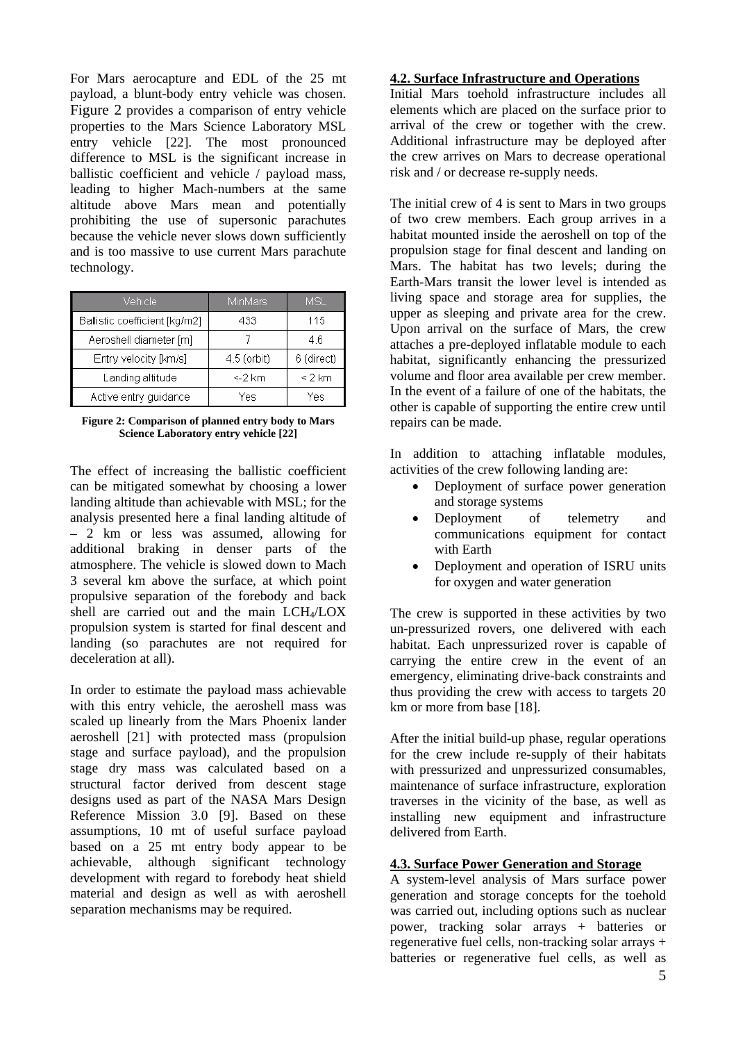For Mars aerocapture and EDL of the 25 mt payload, a blunt-body entry vehicle was chosen. [Figure 2](#page-4-0) provides a comparison of entry vehicle properties to the Mars Science Laboratory MSL entry vehicle [22]. The most pronounced difference to MSL is the significant increase in ballistic coefficient and vehicle / payload mass, leading to higher Mach-numbers at the same altitude above Mars mean and potentially prohibiting the use of supersonic parachutes because the vehicle never slows down sufficiently and is too massive to use current Mars parachute technology.

| Vehicle                       | <b>MinMars</b> | MSL        |
|-------------------------------|----------------|------------|
| Ballistic coefficient [kg/m2] | 433            | 115        |
| Aeroshell diameter [m]        |                | 46         |
| Entry velocity [km/s]         | 4.5 (orbit)    | 6 (direct) |
| Landing altitude              | <-2 km         | $< 2$ km   |
| Active entry guidance         | Yes            | Yes        |

<span id="page-4-0"></span>**Figure 2: Comparison of planned entry body to Mars Science Laboratory entry vehicle [22]**

The effect of increasing the ballistic coefficient can be mitigated somewhat by choosing a lower landing altitude than achievable with MSL; for the analysis presented here a final landing altitude of – 2 km or less was assumed, allowing for additional braking in denser parts of the atmosphere. The vehicle is slowed down to Mach 3 several km above the surface, at which point propulsive separation of the forebody and back shell are carried out and the main LCH<sub>4</sub>/LOX propulsion system is started for final descent and landing (so parachutes are not required for deceleration at all).

In order to estimate the payload mass achievable with this entry vehicle, the aeroshell mass was scaled up linearly from the Mars Phoenix lander aeroshell [21] with protected mass (propulsion stage and surface payload), and the propulsion stage dry mass was calculated based on a structural factor derived from descent stage designs used as part of the NASA Mars Design Reference Mission 3.0 [9]. Based on these assumptions, 10 mt of useful surface payload based on a 25 mt entry body appear to be achievable, although significant technology development with regard to forebody heat shield material and design as well as with aeroshell separation mechanisms may be required.

### **4.2. Surface Infrastructure and Operations**

Initial Mars toehold infrastructure includes all elements which are placed on the surface prior to arrival of the crew or together with the crew. Additional infrastructure may be deployed after the crew arrives on Mars to decrease operational risk and / or decrease re-supply needs.

The initial crew of 4 is sent to Mars in two groups of two crew members. Each group arrives in a habitat mounted inside the aeroshell on top of the propulsion stage for final descent and landing on Mars. The habitat has two levels; during the Earth-Mars transit the lower level is intended as living space and storage area for supplies, the upper as sleeping and private area for the crew. Upon arrival on the surface of Mars, the crew attaches a pre-deployed inflatable module to each habitat, significantly enhancing the pressurized volume and floor area available per crew member. In the event of a failure of one of the habitats, the other is capable of supporting the entire crew until repairs can be made.

In addition to attaching inflatable modules, activities of the crew following landing are:

- Deployment of surface power generation and storage systems
- Deployment of telemetry and communications equipment for contact with Earth
- Deployment and operation of ISRU units for oxygen and water generation

The crew is supported in these activities by two un-pressurized rovers, one delivered with each habitat. Each unpressurized rover is capable of carrying the entire crew in the event of an emergency, eliminating drive-back constraints and thus providing the crew with access to targets 20 km or more from base [18].

After the initial build-up phase, regular operations for the crew include re-supply of their habitats with pressurized and unpressurized consumables, maintenance of surface infrastructure, exploration traverses in the vicinity of the base, as well as installing new equipment and infrastructure delivered from Earth.

# **4.3. Surface Power Generation and Storage**

A system-level analysis of Mars surface power generation and storage concepts for the toehold was carried out, including options such as nuclear power, tracking solar arrays + batteries or regenerative fuel cells, non-tracking solar arrays + batteries or regenerative fuel cells, as well as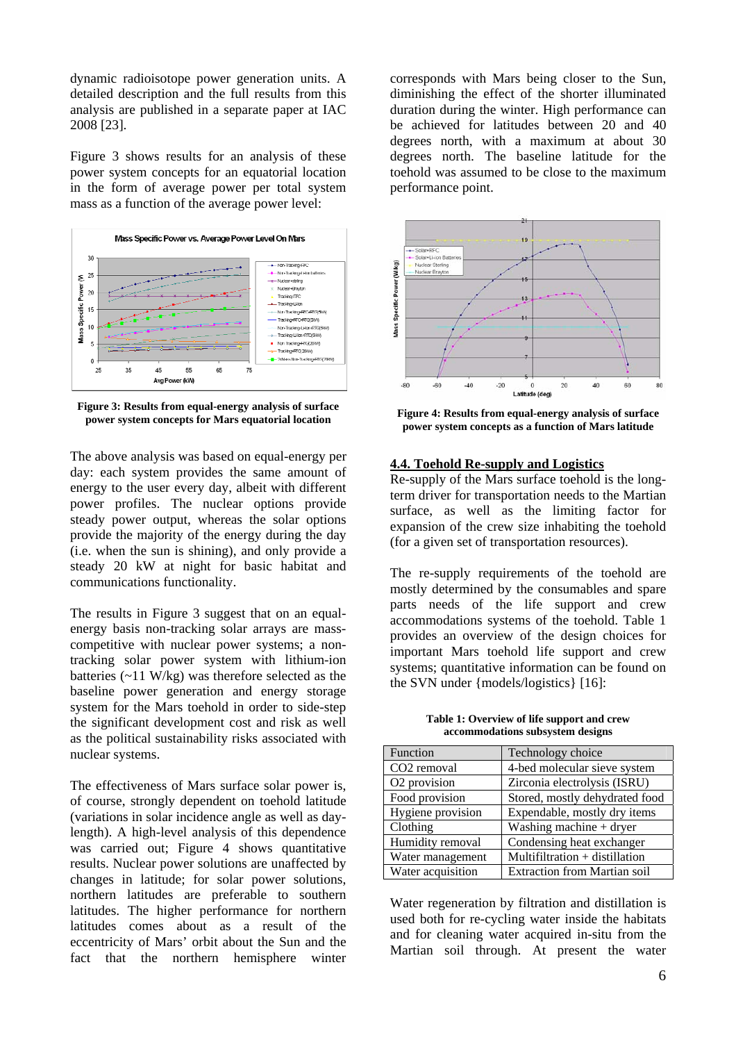dynamic radioisotope power generation units. A detailed description and the full results from this analysis are published in a separate paper at IAC 2008 [23].

[Figure 3](#page-5-0) shows results for an analysis of these power system concepts for an equatorial location in the form of average power per total system mass as a function of the average power level:



<span id="page-5-1"></span><span id="page-5-0"></span>**Figure 3: Results from equal-energy analysis of surface power system concepts for Mars equatorial location**

The above analysis was based on equal-energy per day: each system provides the same amount of energy to the user every day, albeit with different power profiles. The nuclear options provide steady power output, whereas the solar options provide the majority of the energy during the day (i.e. when the sun is shining), and only provide a steady 20 kW at night for basic habitat and communications functionality.

The results in [Figure 3](#page-5-0) suggest that on an equalenergy basis non-tracking solar arrays are masscompetitive with nuclear power systems; a nontracking solar power system with lithium-ion batteries (~11 W/kg) was therefore selected as the baseline power generation and energy storage system for the Mars toehold in order to side-step the significant development cost and risk as well as the political sustainability risks associated with nuclear systems.

<span id="page-5-2"></span>fact that the northern hemisphere winter The effectiveness of Mars surface solar power is, of course, strongly dependent on toehold latitude (variations in solar incidence angle as well as daylength). A high-level analysis of this dependence was carried out; [Figure 4](#page-5-1) shows quantitative results. Nuclear power solutions are unaffected by changes in latitude; for solar power solutions, northern latitudes are preferable to southern latitudes. The higher performance for northern latitudes comes about as a result of the eccentricity of Mars' orbit about the Sun and the

corresponds with Mars being closer to the Sun, diminishing the effect of the shorter illuminated duration during the winter. High performance can be achieved for latitudes between 20 and 40 degrees north, with a maximum at about 30 degrees north. The baseline latitude for the toehold was assumed to be close to the maximum performance point.



**Figure 4: Results from equal-energy analysis of surface power system concepts as a function of Mars latitude**

#### **.4. Toehold Re-supply and Logistics 4**

Re-supply of the Mars surface toehold is the longterm driver for transportation needs to the Martian surface, as well as the limiting factor for expansion of the crew size inhabiting the toehold (for a given set of transportation resources).

The re-supply requirements of the toehold are mostly determined by the consumables and spare parts needs of the life support and crew accommodations systems of the toehold. [Table 1](#page-5-2) provides an overview of the design choices for important Mars toehold life support and crew systems; quantitative information can be found on the SVN under {models/logistics} [16]:

**Table 1: Overview of life support and crew accommodations subsystem designs**

| <b>Function</b>          | Technology choice                   |
|--------------------------|-------------------------------------|
| CO <sub>2</sub> removal  | 4-bed molecular sieve system        |
| O <sub>2</sub> provision | Zirconia electrolysis (ISRU)        |
| Food provision           | Stored, mostly dehydrated food      |
| Hygiene provision        | Expendable, mostly dry items        |
| Clothing                 | Washing machine $+$ dryer           |
| Humidity removal         | Condensing heat exchanger           |
| Water management         | Multifiltration + distillation      |
| Water acquisition        | <b>Extraction from Martian soil</b> |

Water regeneration by filtration and distillation is used both for re-cycling water inside the habitats and for cleaning water acquired in-situ from the Martian soil through. At present the water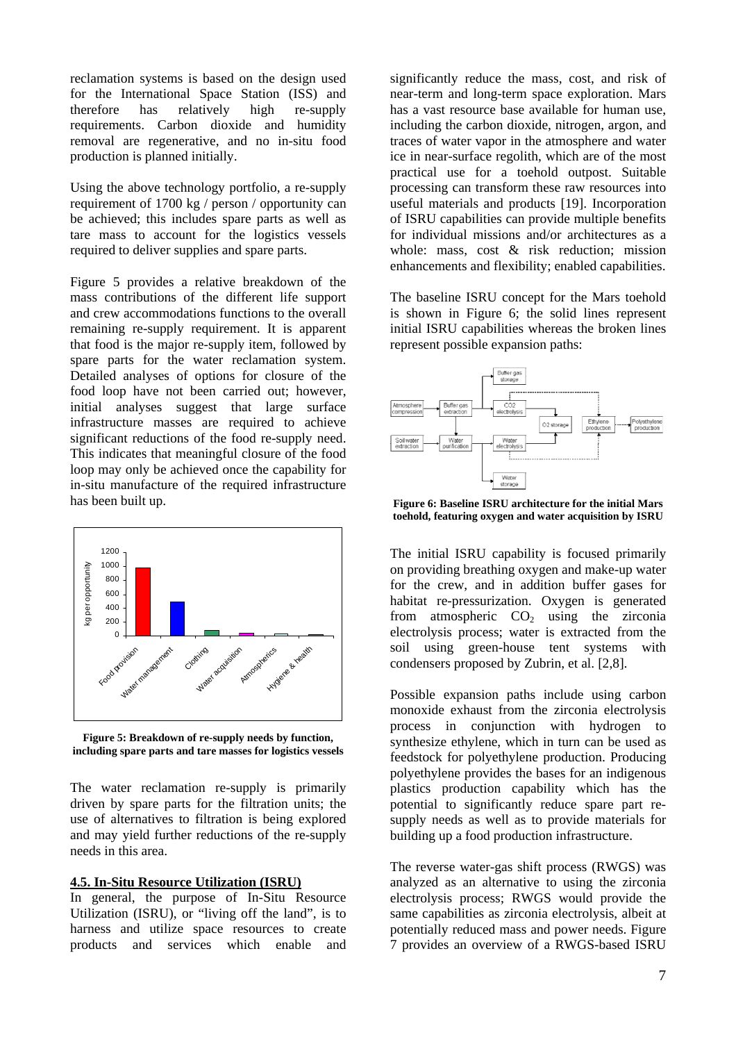reclamation systems is based on the design used for the International Space Station (ISS) and therefore has relatively high re-supply requirements. Carbon dioxide and humidity removal are regenerative, and no in-situ food production is planned initially.

Using the above technology portfolio, a re-supply requirement of 1700 kg / person / opportunity can be achieved; this includes spare parts as well as tare mass to account for the logistics vessels required to deliver supplies and spare parts.

Figure 5 provides a relative breakdown of the mass contributions of the different life support and crew accommodations functions to the overall remaining re-supply requirement. It is apparent that food is the major re-supply item, followed by spare parts for the water reclamation system. Detailed analyses of options for closure of the food loop have not been carried out; however, initial analyses suggest that large surface infrastructure masses are required to achieve significant reductions of the food re-supply need. This indicates that meaningful closure of the food loop may only be achieved once the capability for in-situ manufacture of the required infrastructure has been built up.

<span id="page-6-0"></span>

**Figure 5: Breakdown of re-supply needs by function, in cluding spare parts and tare masses for logistics vessels**

The water reclamation re-supply is primarily driven by spare parts for the filtration units; the use of alternatives to filtration is being explored and may yield further reductions of the re-supply needs in this area.

#### **.5. In-Situ Resource Utilization (ISRU) 4**

In general, the purpose of In-Situ Resource Utilization (ISRU), or "living off the land", is to harness and utilize space resources to create products and services which enable and

significantly reduce the mass, cost, and risk of near-term and long-term space exploration. Mars has a vast resource base available for human use, including the carbon dioxide, nitrogen, argon, and traces of water vapor in the atmosphere and water ice in near-surface regolith, which are of the most practical use for a toehold outpost. Suitable processing can transform these raw resources into useful materials and products [19]. Incorporation of ISRU capabilities can provide multiple benefits for individual missions and/or architectures as a whole: mass, cost & risk reduction; mission enhancements and flexibility; enabled capabilities.

The baseline ISRU concept for the Mars toehold is shown in [Figure 6;](#page-6-0) the solid lines represent initial ISRU capabilities whereas the broken lines represent possible expansion paths:



**Figure 6: Baseline ISRU architecture for the initial Mars toehold, featuring oxygen and water acquisition by ISRU**

The initial ISRU capability is focused primarily on providing breathing oxygen and make-up water for the crew, and in addition buffer gases for habitat re-pressurization. Oxygen is generated from atmospheric  $CO<sub>2</sub>$  using the zirconia electrolysis process; water is extracted from the soil using green-house tent systems with condensers proposed by Zubrin, et al. [2,8].

Possible expansion paths include using carbon monoxide exhaust from the zirconia electrolysis process in conjunction with hydrogen to synthesize ethylene, which in turn can be used as feedstock for polyethylene production. Producing polyethylene provides the bases for an indigenous plastics production capability which has the potential to significantly reduce spare part resupply needs as well as to provide materials for building up a food production infrastructure.

The reverse water-gas shift process (RWGS) was analyzed as an alternative to using the zirconia electrolysis process; RWGS would provide the same capabilities as zirconia electrolysis, albeit at potentially reduced mass and power needs. [Figure](#page-7-0)  [7](#page-7-0) provides an overview of a RWGS-based ISRU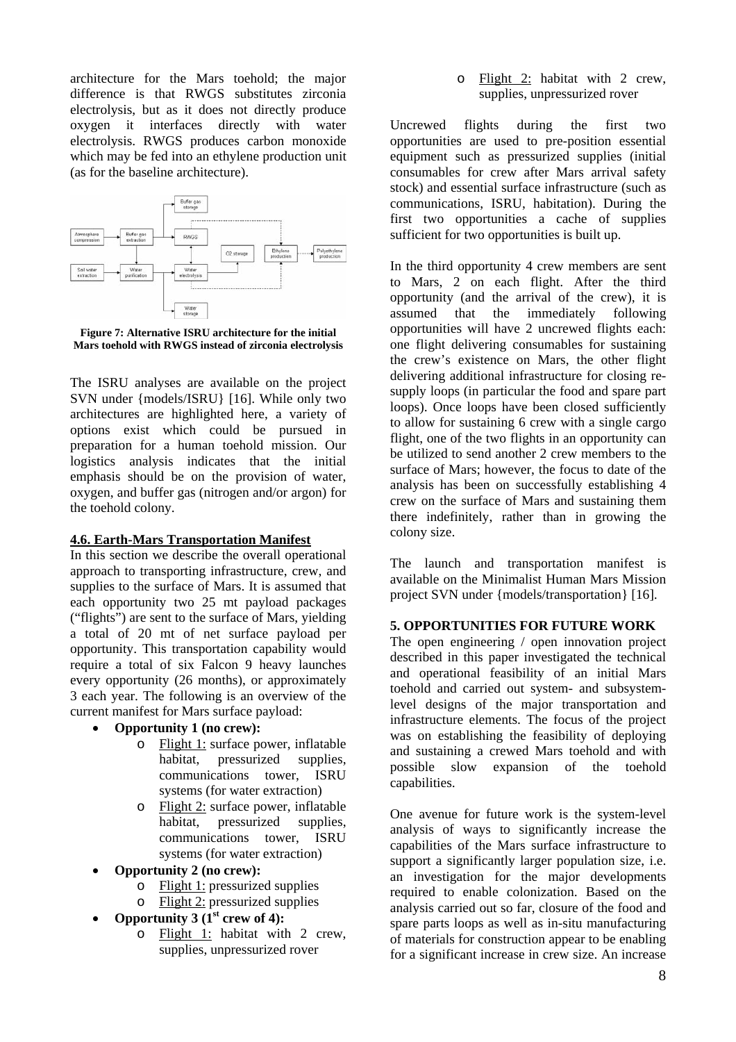architecture for the Mars toehold; the major difference is that RWGS substitutes zirconia electrolysis, but as it does not directly produce oxygen it interfaces directly with water electrolysis. RWGS produces carbon monoxide which may be fed into an ethylene production unit (as for the baseline architecture).



<span id="page-7-0"></span>**Figure 7: Alternative ISRU architecture for the initial M ars toehold with RWGS instead of zirconia electrolysis**

The ISRU analyses are available on the project SVN under {models/ISRU} [16]. While only two architectures are highlighted here, a variety of options exist which could be pursued in preparation for a human toehold mission. Our logistics analysis indicates that the initial emphasis should be on the provision of water, oxygen, and buffer gas (nitrogen and/or argon) for the toehold colony.

# **.6. Earth-Mars Transportation Manifest 4**

In this section we describe the overall operational approach to transporting infrastructure, crew, and supplies to the surface of Mars. It is assumed that each opportunity two 25 mt payload packages ("flights") are sent to the surface of Mars, yielding a total of 20 mt of net surface payload per opportunity. This transportation capability would require a total of six Falcon 9 heavy launches every opportunity (26 months), or approximately 3 each year. The following is an overview of the current manifest for Mars surface payload:

- **Opportunity 1 (no crew):** 
	- o Flight 1: surface power, inflatable habitat, pressurized supplies, communications tower, ISRU systems (for water extraction)
	- o Flight 2: surface power, inflatable habitat, pressurized supplies, communications tower, ISRU systems (for water extraction)
- **Opport unity 2 (no crew):** 
	- o Flight 1: pressurized supplies
	- o Flight 2: pressurized supplies
- **Opportunity 3** ( $1<sup>st</sup>$  crew of 4):
	- o **Flight 1:** habitat with 2 crew, supplies, unpressurized rover

o Flight 2: habitat with 2 crew, supplies, unpressurized rover

Uncrewed flights during the first two pportunities are used to pre-position essential o equipment such as pressurized supplies (initial consumables for crew after Mars arrival safety stock) and essential surface infrastructure (such as communications, ISRU, habitation). During the first two opportunities a cache of supplies sufficient for two opportunities is built up.

In the third opportunity 4 crew members are sent to Mars, 2 on each flight. After the third opportunity (and the arrival of the crew), it is assumed that the immediately following opportunities will have 2 uncrewed flights each: one flight delivering consumables for sustaining the crew's existence on Mars, the other flight delivering additional infrastructure for closing resupply loops (in particular the food and spare part loops). Once loops have been closed sufficiently to allow for sustaining 6 crew with a single cargo flight, one of the two flights in an opportunity can be utilized to send another 2 crew members to the surface of Mars; however, the focus to date of the analysis has been on successfully establishing 4 crew on the surface of Mars and sustaining them there indefinitely, rather than in growing the colony size.

The launch and transportation manifest is available on the Minimalist Human Mars Mission project SVN under {models/transportation} [16].

# **5. OPPORTUNITIES FOR FUTURE WORK**

The open engineering / open innovation project described in this paper investigated the technical and operational feasibility of an initial Mars toehold and carried out system- and subsystemlevel designs of the major transportation and infrastructure elements. The focus of the project was on establishing the feasibility of deploying and sustaining a crewed Mars toehold and with possible slow expansion of the toehold capabilities.

One avenue for future work is the system-level nalysis of ways to significantly increase the a capabilities of the Mars surface infrastructure to support a significantly larger population size, i.e. an investigation for the major developments required to enable colonization. Based on the analysis carried out so far, closure of the food and spare parts loops as well as in-situ manufacturing of materials for construction appear to be enabling for a significant increase in crew size. An increase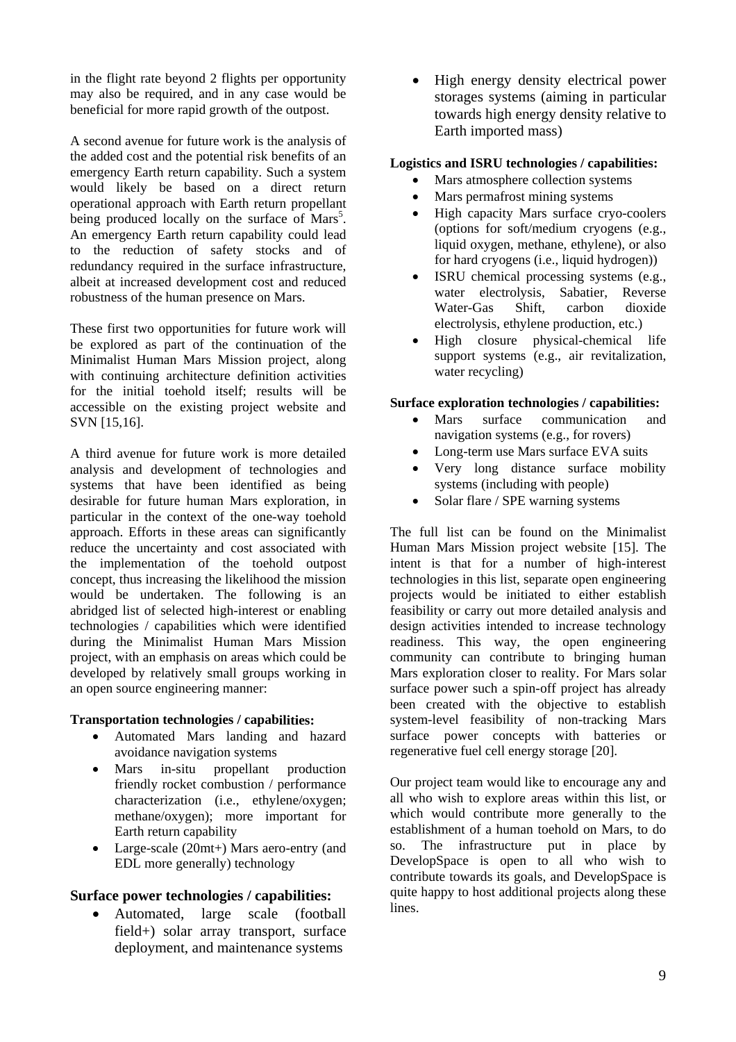in the flight rate beyond 2 flights per opportunity may also be required, and in any case would be beneficial for more rapid growth of the outpost.

A second avenue for future work is the analysis of the added cost and the potential risk benefits of an emergency Earth return capability. Such a system would likely be based on a direct return operational approach with Earth return propellant being produced locally on the surface of Mars<sup>5</sup>. An emergency Earth return capability could lead to the reduction of safety stocks and of redundancy required in the surface infrastructure, albeit at increased development cost and reduced robustness of the human presence on Mars.

These first two opportunities for future work will be explored as part of the continuation of the Minimalist Human Mars Mission project, along with continuing architecture definition activities for the initial toehold itself; results will be accessible on the existing project website and SVN [15,16].

A third avenue for future work is more detailed nalysis and development of technologies and a systems that have been identified as being desirable for future human Mars exploration, in particular in the context of the one-way toehold approach. Efforts in these areas can significantly reduce the uncertainty and cost associated with the implementation of the toehold outpost concept, thus increasing the likelihood the mission would be undertaken. The following is an abridged list of selected high-interest or enabling technologies / capabilities which were identified during the Minimalist Human Mars Mission project, with an emphasis on areas which could be developed by relatively small groups working in an open source engineering manner:

### **Transportation technologies / capabilities:**

- Automated Mars landing and hazard avoidance navigation systems
- friendly rocket combustion / performance • Mars in-situ propellant production characterization (i.e., ethylene/oxygen; methane/oxygen); more important for Earth return capability
- EDL more generally) technology Large-scale (20mt+) Mars aero-entry (and

# **Surface power technologies / capabilities:**

• field+) solar array transport, surface deployment, and maintenance systems Automated, large scale (football

• High energy density electrical power storages systems (aiming in particular towards high energy density relative to Earth imported mass)

# **Logistic s and ISRU technologies / capabilities:**

- Mars atmosphere collection systems
- Mars permafrost mining systems
- (options for soft/medium cryogens (e.g., liquid oxygen, methane, ethylene), or also • High capacity Mars surface cryo-coolers for hard cryogens (i.e., liquid hydrogen))
- ISRU chemical processing systems (e.g., water electrolysis, Sabatier, Reverse Water-Gas Shift, carbon dioxide electrolysis, ethylene production, etc.)
- High closure physical-chemical life support systems (e.g., air revitalization, water recycling)

### Surface exploration technologies / capabilities:

- Mars surface communication and navigation systems (e.g., for rovers)
- Long-term use Mars surface EVA suits
- Very long distance surface mobility systems (including with people)
- Solar flare / SPE warning systems

The full list can be found on the Minimalist Human Mars Mission project website [15]. The intent is that for a number of high-interest technologies in this list, separate open engineering projects would be initiated to either establish feasibility or carry out more detailed analysis and design activities intended to increase technology readiness. This way, the open engineering community can contribute to bringing human Mars exploration closer to reality. For Mars solar surface power such a spin-off project has already been created with the objective to establish system-level feasibility of non-tracking Mars surface power concepts with batteries or regenerative fuel cell energy storage [20].

which would contribute more generally to the Our project team would like to encourage any and all who wish to explore areas within this list, or establishment of a human toehold on Mars, to do so. The infrastructure put in place by DevelopSpace is open to all who wish to contribute towards its goals, and DevelopSpace is quite happy to host additional projects along these lines.